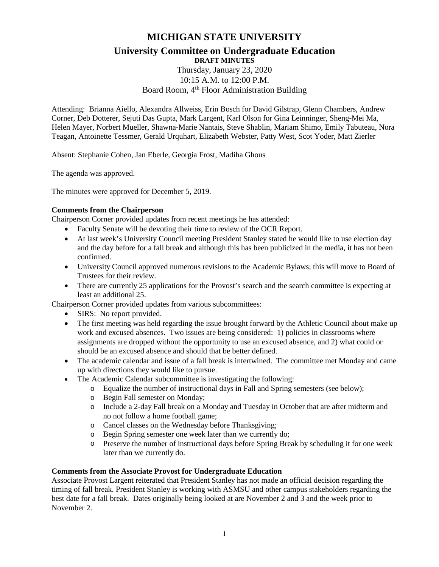# **MICHIGAN STATE UNIVERSITY**

## **University Committee on Undergraduate Education DRAFT MINUTES**

# Thursday, January 23, 2020 10:15 A.M. to 12:00 P.M. Board Room, 4<sup>th</sup> Floor Administration Building

Attending: Brianna Aiello, Alexandra Allweiss, Erin Bosch for David Gilstrap, Glenn Chambers, Andrew Corner, Deb Dotterer, Sejuti Das Gupta, Mark Largent, Karl Olson for Gina Leinninger, Sheng-Mei Ma, Helen Mayer, Norbert Mueller, Shawna-Marie Nantais, Steve Shablin, Mariam Shimo, Emily Tabuteau, Nora Teagan, Antoinette Tessmer, Gerald Urquhart, Elizabeth Webster, Patty West, Scot Yoder, Matt Zierler

Absent: Stephanie Cohen, Jan Eberle, Georgia Frost, Madiha Ghous

The agenda was approved.

The minutes were approved for December 5, 2019.

# **Comments from the Chairperson**

Chairperson Corner provided updates from recent meetings he has attended:

- Faculty Senate will be devoting their time to review of the OCR Report.
- At last week's University Council meeting President Stanley stated he would like to use election day and the day before for a fall break and although this has been publicized in the media, it has not been confirmed.
- University Council approved numerous revisions to the Academic Bylaws; this will move to Board of Trustees for their review.
- There are currently 25 applications for the Provost's search and the search committee is expecting at least an additional 25.

Chairperson Corner provided updates from various subcommittees:

- SIRS: No report provided.
- The first meeting was held regarding the issue brought forward by the Athletic Council about make up work and excused absences. Two issues are being considered: 1) policies in classrooms where assignments are dropped without the opportunity to use an excused absence, and 2) what could or should be an excused absence and should that be better defined.
- The academic calendar and issue of a fall break is intertwined. The committee met Monday and came up with directions they would like to pursue.
- The Academic Calendar subcommittee is investigating the following:
	- o Equalize the number of instructional days in Fall and Spring semesters (see below);
	- o Begin Fall semester on Monday;
	- o Include a 2-day Fall break on a Monday and Tuesday in October that are after midterm and no not follow a home football game;
	- o Cancel classes on the Wednesday before Thanksgiving;
	- o Begin Spring semester one week later than we currently do;
	- o Preserve the number of instructional days before Spring Break by scheduling it for one week later than we currently do.

#### **Comments from the Associate Provost for Undergraduate Education**

Associate Provost Largent reiterated that President Stanley has not made an official decision regarding the timing of fall break. President Stanley is working with ASMSU and other campus stakeholders regarding the best date for a fall break. Dates originally being looked at are November 2 and 3 and the week prior to November 2.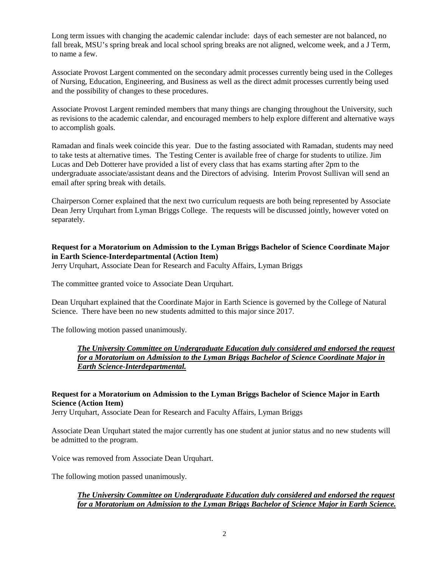Long term issues with changing the academic calendar include: days of each semester are not balanced, no fall break, MSU's spring break and local school spring breaks are not aligned, welcome week, and a J Term, to name a few.

Associate Provost Largent commented on the secondary admit processes currently being used in the Colleges of Nursing, Education, Engineering, and Business as well as the direct admit processes currently being used and the possibility of changes to these procedures.

Associate Provost Largent reminded members that many things are changing throughout the University, such as revisions to the academic calendar, and encouraged members to help explore different and alternative ways to accomplish goals.

Ramadan and finals week coincide this year. Due to the fasting associated with Ramadan, students may need to take tests at alternative times. The Testing Center is available free of charge for students to utilize. Jim Lucas and Deb Dotterer have provided a list of every class that has exams starting after 2pm to the undergraduate associate/assistant deans and the Directors of advising. Interim Provost Sullivan will send an email after spring break with details.

Chairperson Corner explained that the next two curriculum requests are both being represented by Associate Dean Jerry Urquhart from Lyman Briggs College. The requests will be discussed jointly, however voted on separately.

## **Request for a Moratorium on Admission to the Lyman Briggs Bachelor of Science Coordinate Major in Earth Science-Interdepartmental (Action Item)**

Jerry Urquhart, Associate Dean for Research and Faculty Affairs, Lyman Briggs

The committee granted voice to Associate Dean Urquhart.

Dean Urquhart explained that the Coordinate Major in Earth Science is governed by the College of Natural Science. There have been no new students admitted to this major since 2017.

The following motion passed unanimously.

*The University Committee on Undergraduate Education duly considered and endorsed the request for a Moratorium on Admission to the Lyman Briggs Bachelor of Science Coordinate Major in Earth Science-Interdepartmental.*

## **Request for a Moratorium on Admission to the Lyman Briggs Bachelor of Science Major in Earth Science (Action Item)**

Jerry Urquhart, Associate Dean for Research and Faculty Affairs, Lyman Briggs

Associate Dean Urquhart stated the major currently has one student at junior status and no new students will be admitted to the program.

Voice was removed from Associate Dean Urquhart.

The following motion passed unanimously.

## *The University Committee on Undergraduate Education duly considered and endorsed the request for a Moratorium on Admission to the Lyman Briggs Bachelor of Science Major in Earth Science.*